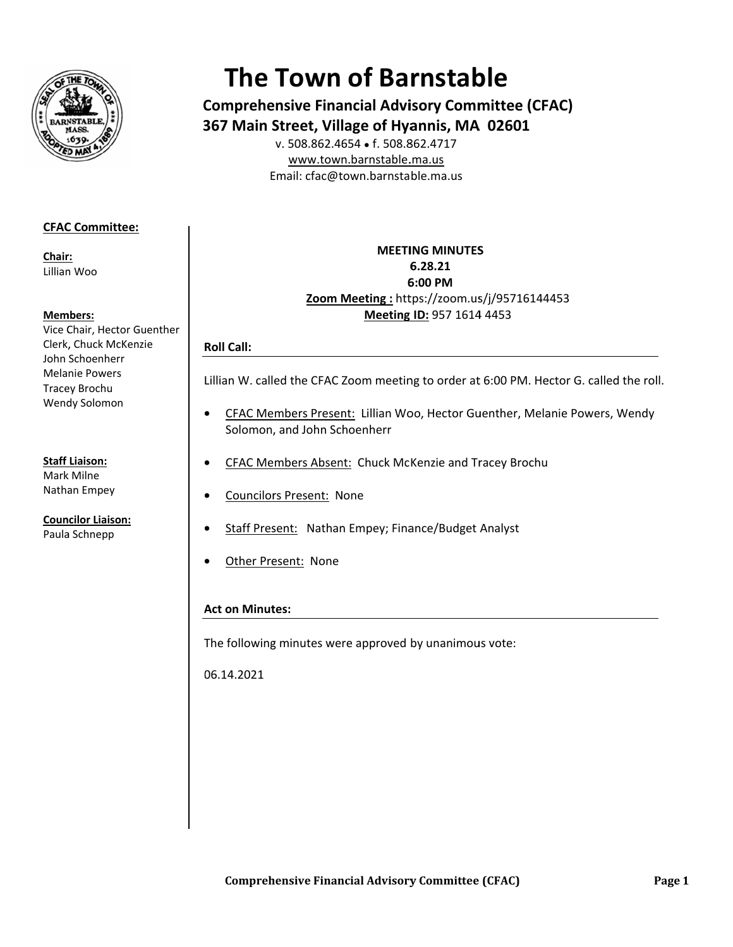

# **The Town of Barnstable**

**Comprehensive Financial Advisory Committee (CFAC)** 367 Main Street, Village of Hyannis, MA 02601

v. 508.862.4654 • f. 508.862.4717 www.town.barnstable.ma.us Email: cfac@town.barnstable.ma.us

# **CFAC Committee:**

Chair: Lillian Woo

## **Members:**

Vice Chair, Hector Guenther Clerk, Chuck McKenzie John Schoenherr **Melanie Powers Tracey Brochu** Wendy Solomon

**Staff Liaison:** 

Mark Milne Nathan Empey

**Councilor Liaison:** Paula Schnepp

## **MEETING MINUTES** 6.28.21 6:00 PM Zoom Meeting: https://zoom.us/j/95716144453 Meeting ID: 957 1614 4453

# **Roll Call:**

Lillian W. called the CFAC Zoom meeting to order at 6:00 PM. Hector G. called the roll.

- CFAC Members Present: Lillian Woo, Hector Guenther, Melanie Powers, Wendy  $\bullet$ Solomon, and John Schoenherr
- CFAC Members Absent: Chuck McKenzie and Tracey Brochu  $\bullet$
- **Councilors Present: None**
- Staff Present: Nathan Empey; Finance/Budget Analyst  $\bullet$
- Other Present: None  $\bullet$

# **Act on Minutes:**

The following minutes were approved by unanimous vote:

06.14.2021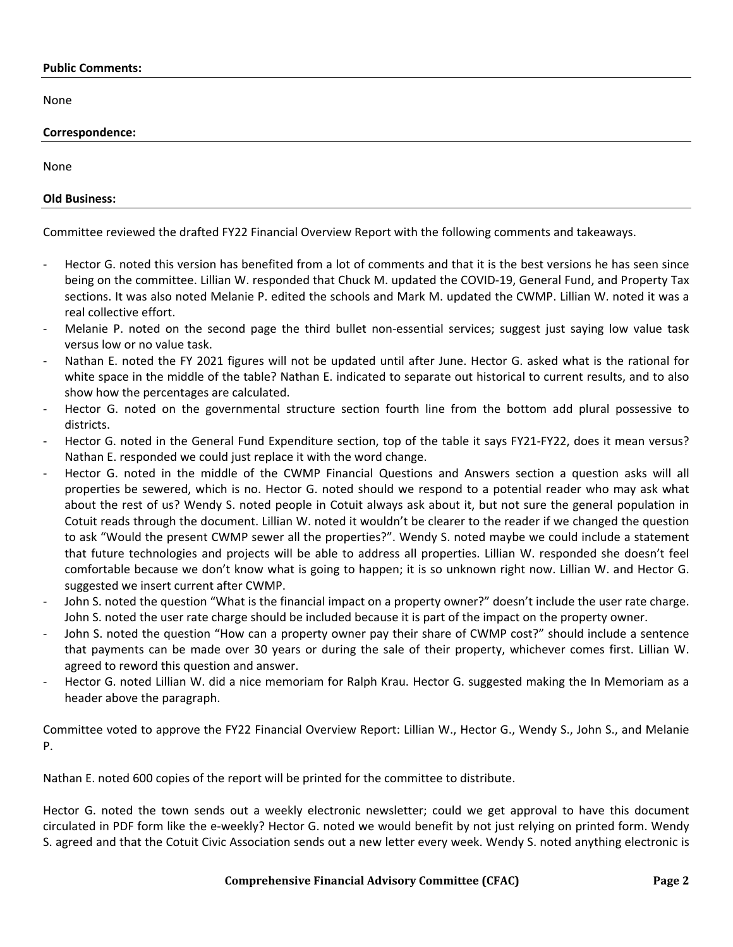#### **Public Comments:**

None

#### **Correspondence:**

None

## **Old Business:**

Committee reviewed the drafted FY22 Financial Overview Report with the following comments and takeaways.

- Hector G. noted this version has benefited from a lot of comments and that it is the best versions he has seen since being on the committee. Lillian W. responded that Chuck M. updated the COVID-19, General Fund, and Property Tax sections. It was also noted Melanie P. edited the schools and Mark M. updated the CWMP. Lillian W. noted it was a real collective effort.
- Melanie P. noted on the second page the third bullet non-essential services; suggest just saying low value task versus low or no value task.
- Nathan E. noted the FY 2021 figures will not be updated until after June. Hector G. asked what is the rational for white space in the middle of the table? Nathan E. indicated to separate out historical to current results, and to also show how the percentages are calculated.
- Hector G. noted on the governmental structure section fourth line from the bottom add plural possessive to districts.
- Hector G. noted in the General Fund Expenditure section, top of the table it says FY21-FY22, does it mean versus? Nathan E. responded we could just replace it with the word change.
- Hector G. noted in the middle of the CWMP Financial Questions and Answers section a question asks will all properties be sewered, which is no. Hector G. noted should we respond to a potential reader who may ask what about the rest of us? Wendy S. noted people in Cotuit always ask about it, but not sure the general population in Cotuit reads through the document. Lillian W. noted it wouldn't be clearer to the reader if we changed the question to ask "Would the present CWMP sewer all the properties?". Wendy S. noted maybe we could include a statement that future technologies and projects will be able to address all properties. Lillian W. responded she doesn't feel comfortable because we don't know what is going to happen; it is so unknown right now. Lillian W. and Hector G. suggested we insert current after CWMP.
- John S. noted the question "What is the financial impact on a property owner?" doesn't include the user rate charge. John S. noted the user rate charge should be included because it is part of the impact on the property owner.
- John S. noted the question "How can a property owner pay their share of CWMP cost?" should include a sentence that payments can be made over 30 years or during the sale of their property, whichever comes first. Lillian W. agreed to reword this question and answer.
- Hector G. noted Lillian W. did a nice memoriam for Ralph Krau. Hector G. suggested making the In Memoriam as a header above the paragraph.

Committee voted to approve the FY22 Financial Overview Report: Lillian W., Hector G., Wendy S., John S., and Melanie P.

Nathan E. noted 600 copies of the report will be printed for the committee to distribute.

Hector G. noted the town sends out a weekly electronic newsletter; could we get approval to have this document circulated in PDF form like the e-weekly? Hector G. noted we would benefit by not just relying on printed form. Wendy S. agreed and that the Cotuit Civic Association sends out a new letter every week. Wendy S. noted anything electronic is